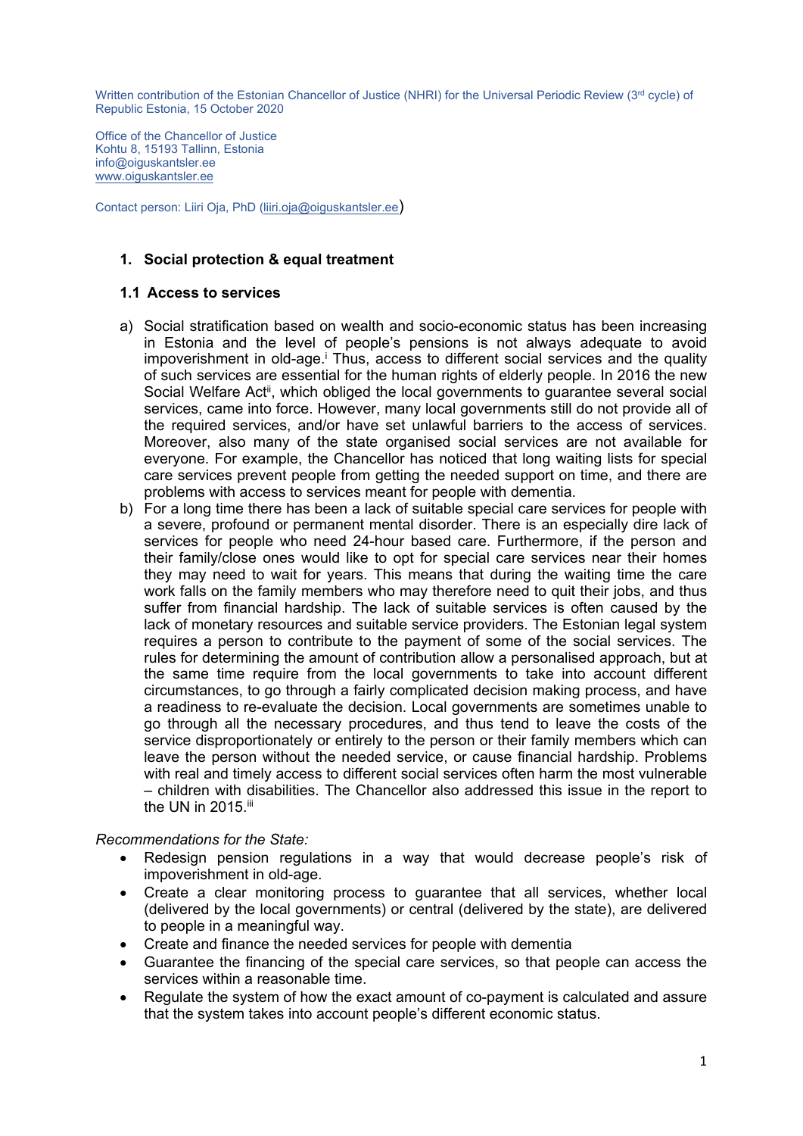Office of the Chancellor of Justice Kohtu 8, 15193 Tallinn, Estonia info@oiguskantsler.ee [www.oiguskantsler.ee](http://www.oiguskantsler.ee)

Contact person: Liiri Oja, PhD [\(liiri.oja@oiguskantsler.ee](mailto:liiri.oja@oiguskantsler.ee))

## **1. Social protection & equal treatment**

### **1.1 Access to services**

- a) Social stratification based on wealth and socio-economic status has been increasing in Estonia and the level of people'<sup>s</sup> pensions is not always adequate to avoid impoverishment in old-age.<sup>i</sup> Thus, access to different social services and the quality of such services are essential for the human rights of elderly people. In 2016 the new Social Welfare Act<sup>ii</sup>, which obliged the local governments to guarantee several social services, came into force. However, many local governments still do not provide all of the required services, and/or have set unlawful barriers to the access of services. Moreover, also many of the state organised social services are not available for everyone. For example, the Chancellor has noticed that long waiting lists for special care services prevent people from getting the needed support on time, and there are problems with access to services meant for people with dementia.
- b) For <sup>a</sup> long time there has been <sup>a</sup> lack of suitable special care services for people with <sup>a</sup> severe, profound or permanent mental disorder. There is an especially dire lack of services for people who need 24-hour based care. Furthermore, if the person and their family/close ones would like to opt for special care services near their homes they may need to wait for years. This means that during the waiting time the care work falls on the family members who may therefore need to quit their jobs, and thus suffer from financial hardship. The lack of suitable services is often caused by the lack of monetary resources and suitable service providers. The Estonian legal system requires <sup>a</sup> person to contribute to the payment of some of the social services. The rules for determining the amount of contribution allow <sup>a</sup> personalised approach, but at the same time require from the local governments to take into account different circumstances, to go through <sup>a</sup> fairly complicated decision making process, and have <sup>a</sup> readiness to re-evaluate the decision. Local governments are sometimes unable to go through all the necessary procedures, and thus tend to leave the costs of the service disproportionately or entirely to the person or their family members which can leave the person without the needed service, or cause financial hardship. Problems with real and timely access to different social services often harm the most vulnerable – children with disabilities. The Chancellor also addressed this issue in the report to the UN in 2015.<sup>ii</sup>

### *Recommendations for the State:*

- Redesign pension regulations in <sup>a</sup> way that would decrease people'<sup>s</sup> risk of impoverishment in old-age.
- Create <sup>a</sup> clear monitoring process to guarantee that all services, whether local (delivered by the local governments) or central (delivered by the state), are delivered to people in <sup>a</sup> meaningful way.
- Create and finance the needed services for people with dementia
- Guarantee the financing of the special care services, so that people can access the services within a reasonable time.
- $\bullet$  Regulate the system of how the exact amount of co-payment is calculated and assure that the system takes into account people'<sup>s</sup> different economic status.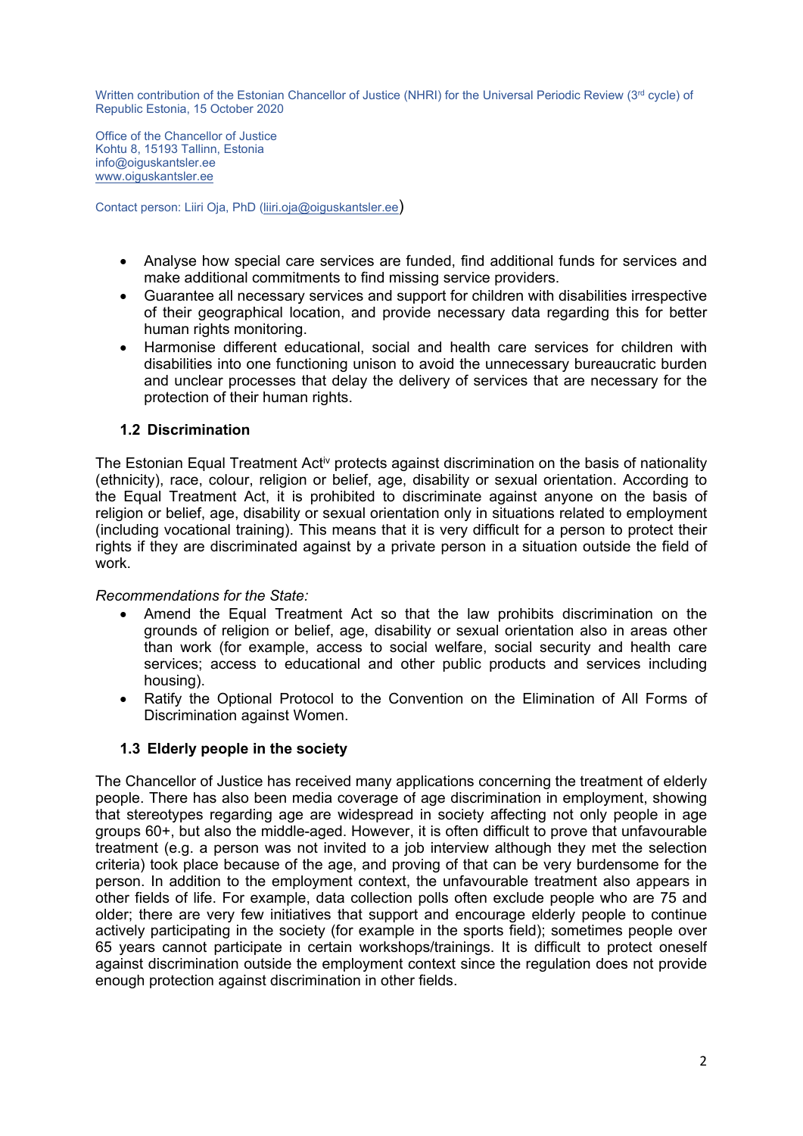Office of the Chancellor of Justice Kohtu 8, 15193 Tallinn, Estonia info@oiguskantsler.ee [www.oiguskantsler.ee](http://www.oiguskantsler.ee)

Contact person: Liiri Oja, PhD [\(liiri.oja@oiguskantsler.ee](mailto:liiri.oja@oiguskantsler.ee))

- Analyse how special care services are funded, find additional funds for services and make additional commitments to find missing service providers.
- Guarantee all necessary services and support for children with disabilities irrespective of their geographical location, and provide necessary data regarding this for better human rights monitoring.
- e Harmonise different educational, social and health care services for children with disabilities into one functioning unison to avoid the unnecessary bureaucratic burden and unclear processes that delay the delivery of services that are necessary for the protection of their human rights.

## **1.2 Discrimination**

The Estonian Equal Treatment Act $^{\sf iv}$  protects against discrimination on the basis of nationality (ethnicity), race, colour, religion or belief, age, disability or sexual orientation. According to the Equal Treatment Act, it is prohibited to discriminate against anyone on the basis of religion or belief, age, disability or sexual orientation only in situations related to employment (including vocational training). This means that it is very difficult for <sup>a</sup> person to protect their rights if they are discriminated against by <sup>a</sup> private person in <sup>a</sup> situation outside the field of work.

### *Recommendations for the State:*

- Amend the Equal Treatment Act so that the law prohibits discrimination on the grounds of religion or belief, age, disability or sexual orientation also in areas other than work (for example, access to social welfare, social security and health care services; access to educational and other public products and services including housing).
- Ratify the Optional Protocol to the Convention on the Elimination of All Forms of Discrimination against Women.

# **1.3 Elderly people in the society**

The Chancellor of Justice has received many applications concerning the treatment of elderly people. There has also been media coverage of age discrimination in employment, showing that stereotypes regarding age are widespread in society affecting not only people in age groups 60+, but also the middle-aged. However, it is often difficult to prove that unfavourable treatment (e.g. <sup>a</sup> person was not invited to <sup>a</sup> job interview although they met the selection criteria) took place because of the age, and proving of that can be very burdensome for the person. In addition to the employment context, the unfavourable treatment also appears in other fields of life. For example, data collection polls often exclude people who are 75 and older; there are very few initiatives that support and encourage elderly people to continue actively participating in the society (for example in the sports field); sometimes people over 65 years cannot participate in certain workshops/trainings. It is difficult to protect oneself against discrimination outside the employment context since the regulation does not provide enough protection against discrimination in other fields.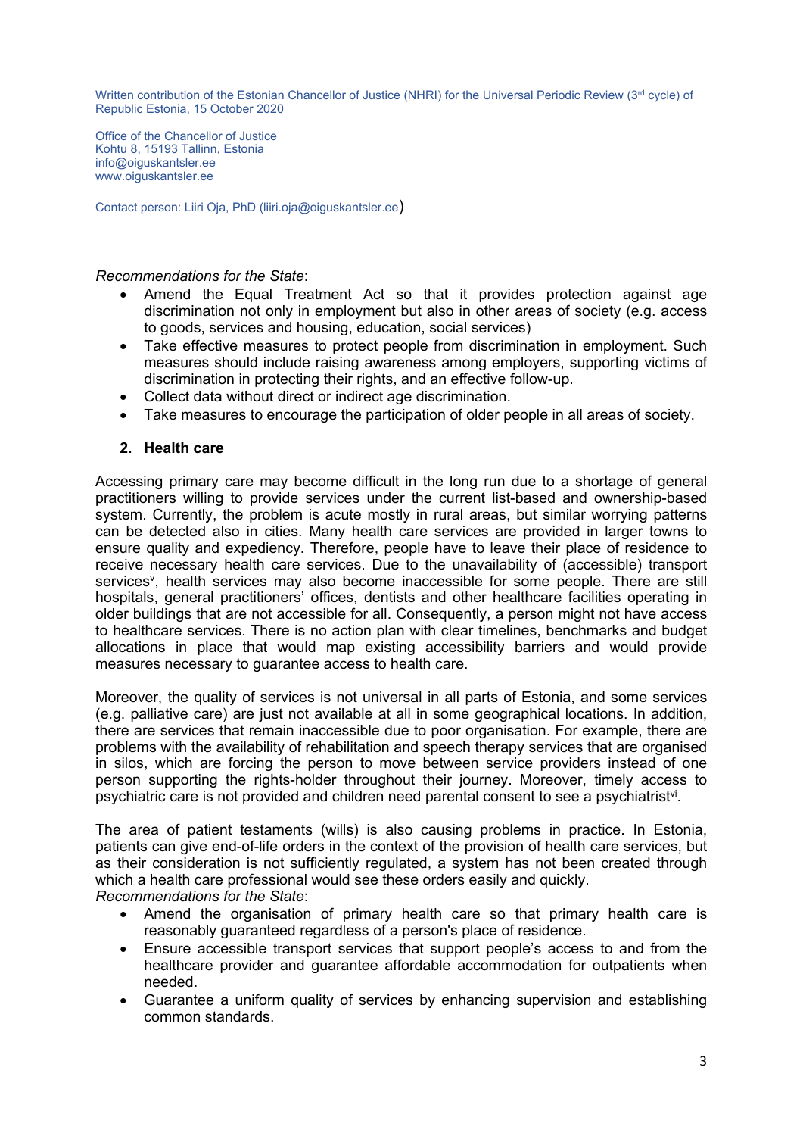Office of the Chancellor of Justice Kohtu 8, 15193 Tallinn, Estonia info@oiguskantsler.ee [www.oiguskantsler.ee](http://www.oiguskantsler.ee)

Contact person: Liiri Oja, PhD [\(liiri.oja@oiguskantsler.ee](mailto:liiri.oja@oiguskantsler.ee))

#### *Recommendations for the State*:

- 6 Amend the Equal Treatment Act so that it provides protection against age discrimination not only in employment but also in other areas of society (e.g. access to goods, services and housing, education, social services)
- Take effective measures to protect people from discrimination in employment. Such measures should include raising awareness among employers, supporting victims of discrimination in protecting their rights, and an effective follow-up.
- Collect data without direct or indirect age discrimination.
- Take measures to encourage the participation of older people in all areas of society.

## **2. Health care**

Accessing primary care may become difficult in the long run due to <sup>a</sup> shortage of general practitioners willing to provide services under the current list-based and ownership-based system. Currently, the problem is acute mostly in rural areas, but similar worrying patterns can be detected also in cities. Many health care services are provided in larger towns to ensure quality and expediency. Therefore, people have to leave their place of residence to receive necessary health care services. Due to the unavailability of (accessible) transport services<sup>v</sup>, health services may also become inaccessible for some people. There are still hospitals, general practitioners' offices, dentists and other healthcare facilities operating in older buildings that are not accessible for all. Consequently, <sup>a</sup> person might not have access to healthcare services. There is no action plan with clear timelines, benchmarks and budget allocations in place that would map existing accessibility barriers and would provide measures necessary to guarantee access to health care.

Moreover, the quality of services is not universal in all parts of Estonia, and some services (e.g. palliative care) are just not available at all in some geographical locations. In addition, there are services that remain inaccessible due to poor organisation. For example, there are problems with the availability of rehabilitation and speech therapy services that are organised in silos, which are forcing the person to move between service providers instead of one person supporting the rights-holder throughout their journey. Moreover, timely access to psychiatric care is not provided and children need parental consent to see a psychiatrist<sup>vi</sup>.

The area of patient testaments (wills) is also causing problems in practice. In Estonia, patients can give end-of-life orders in the context of the provision of health care services, but as their consideration is not sufficiently regulated, <sup>a</sup> system has not been created through which <sup>a</sup> health care professional would see these orders easily and quickly. *Recommendations for the State*:

- Amend the organisation of primary health care so that primary health care is reasonably guaranteed regardless of <sup>a</sup> person's place of residence.
- Ensure accessible transport services that support people'<sup>s</sup> access to and from the healthcare provider and guarantee affordable accommodation for outpatients when needed.
- e Guarantee <sup>a</sup> uniform quality of services by enhancing supervision and establishing common standards.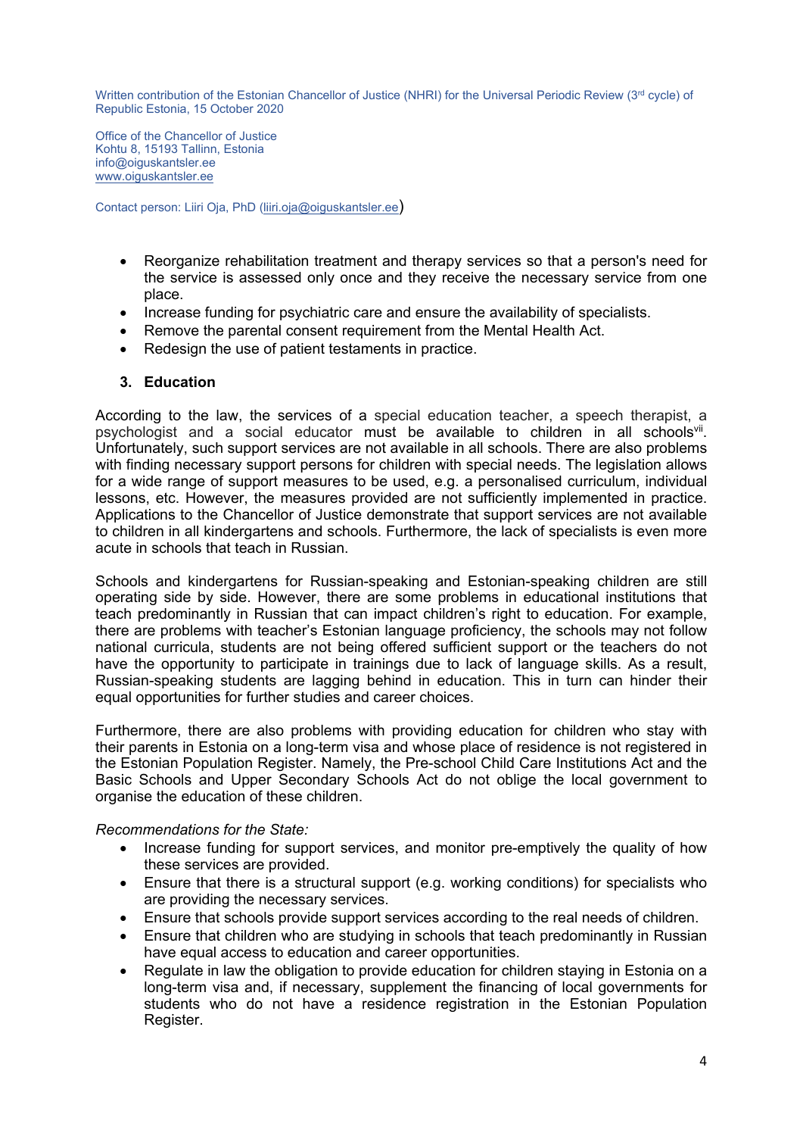Office of the Chancellor of Justice Kohtu 8, 15193 Tallinn, Estonia info@oiguskantsler.ee [www.oiguskantsler.ee](http://www.oiguskantsler.ee)

Contact person: Liiri Oja, PhD [\(liiri.oja@oiguskantsler.ee](mailto:liiri.oja@oiguskantsler.ee))

- Reorganize rehabilitation treatment and therapy services so that <sup>a</sup> person's need for the service is assessed only once and they receive the necessary service from one place.
- Increase funding for psychiatric care and ensure the availability of specialists.
- Remove the parental consent requirement from the Mental Health Act.
- Redesign the use of patient testaments in practice.

### **3. Education**

According to the law, the services of <sup>a</sup> special education teacher, <sup>a</sup> speech therapist, <sup>a</sup> psychologist and a social educator must be available to children in all schools<sup>vii</sup>. Unfortunately, such support services are not available in all schools. There are also problems with finding necessary support persons for children with special needs. The legislation allows for <sup>a</sup> wide range of support measures to be used, e.g. <sup>a</sup> personalised curriculum, individual lessons, etc. However, the measures provided are not sufficiently implemented in practice. Applications to the Chancellor of Justice demonstrate that support services are not available to children in all kindergartens and schools. Furthermore, the lack of specialists is even more acute in schools that teach in Russian.

Schools and kindergartens for Russian-speaking and Estonian-speaking children are still operating side by side. However, there are some problems in educational institutions that teach predominantly in Russian that can impact children'<sup>s</sup> right to education. For example, there are problems with teacher'<sup>s</sup> Estonian language proficiency, the schools may not follow national curricula, students are not being offered sufficient support or the teachers do not have the opportunity to participate in trainings due to lack of language skills. As <sup>a</sup> result, Russian-speaking students are lagging behind in education. This in turn can hinder their equal opportunities for further studies and career choices.

Furthermore, there are also problems with providing education for children who stay with their parents in Estonia on <sup>a</sup> long-term visa and whose place of residence is not registered in the Estonian Population Register. Namely, the Pre-school Child Care Institutions Act and the Basic Schools and Upper Secondary Schools Act do not oblige the local government to organise the education of these children.

### *Recommendations for the State:*

- Increase funding for support services, and monitor pre-emptively the quality of how these services are provided.
- Ensure that there is <sup>a</sup> structural support (e.g. working conditions) for specialists who are providing the necessary services.
- Ensure that schools provide support services according to the real needs of children.
- e Ensure that children who are studying in schools that teach predominantly in Russian have equal access to education and career opportunities.
- e Regulate in law the obligation to provide education for children staying in Estonia on <sup>a</sup> long-term visa and, if necessary, supplement the financing of local governments for students who do not have <sup>a</sup> residence registration in the Estonian Population Register.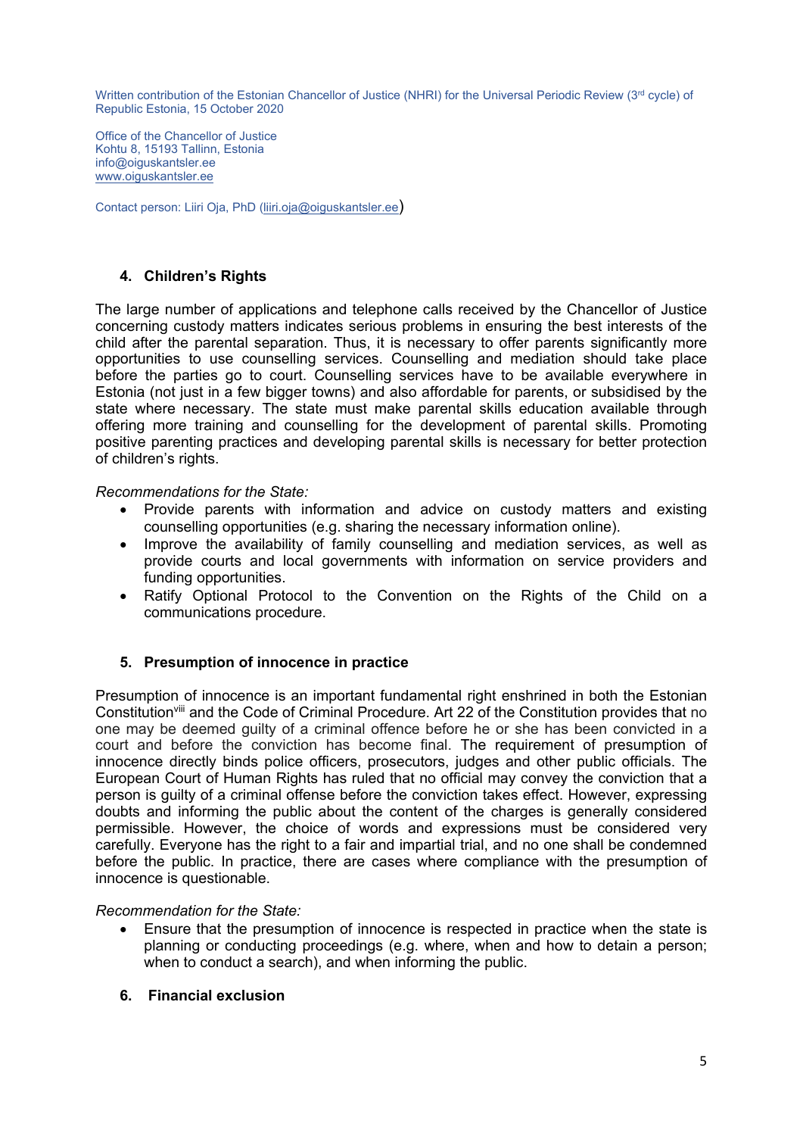Office of the Chancellor of Justice Kohtu 8, 15193 Tallinn, Estonia info@oiguskantsler.ee [www.oiguskantsler.ee](http://www.oiguskantsler.ee)

Contact person: Liiri Oja, PhD [\(liiri.oja@oiguskantsler.ee](mailto:liiri.oja@oiguskantsler.ee))

## **4. Children'<sup>s</sup> Rights**

The large number of applications and telephone calls received by the Chancellor of Justice concerning custody matters indicates serious problems in ensuring the best interests of the child after the parental separation. Thus, it is necessary to offer parents significantly more opportunities to use counselling services. Counselling and mediation should take place before the parties go to court. Counselling services have to be available everywhere in Estonia (not just in <sup>a</sup> few bigger towns) and also affordable for parents, or subsidised by the state where necessary. The state must make parental skills education available through offering more training and counselling for the development of parental skills. Promoting positive parenting practices and developing parental skills is necessary for better protection of children'<sup>s</sup> rights.

### *Recommendations for the State:*

- Provide parents with information and advice on custody matters and existing counselling opportunities (e.g. sharing the necessary information online).
- Improve the availability of family counselling and mediation services, as well as provide courts and local governments with information on service providers and funding opportunities.
- Ratify Optional Protocol to the Convention on the Rights of the Child on <sup>a</sup> communications procedure.

### **5. Presumption of innocence in practice**

Presumption of innocence is an important fundamental right enshrined in both the Estonian Constitution<sup>viii</sup> and the Code of Criminal Procedure. Art 22 of the Constitution provides that no one may be deemed guilty of <sup>a</sup> criminal offence before he or she has been convicted in <sup>a</sup> court and before the conviction has become final. The requirement of presumption of innocence directly binds police officers, prosecutors, judges and other public officials. The European Court of Human Rights has ruled that no official may convey the conviction that <sup>a</sup> person is guilty of <sup>a</sup> criminal offense before the conviction takes effect. However, expressing doubts and informing the public about the content of the charges is generally considered permissible. However, the choice of words and expressions must be considered very carefully. Everyone has the right to <sup>a</sup> fair and impartial trial, and no one shall be condemned before the public. In practice, there are cases where compliance with the presumption of innocence is questionable.

### *Recommendation for the State:*

- Ensure that the presumption of innocence is respected in practice when the state is planning or conducting proceedings (e.g. where, when and how to detain <sup>a</sup> person; when to conduct <sup>a</sup> search), and when informing the public.
- **6. Financial exclusion**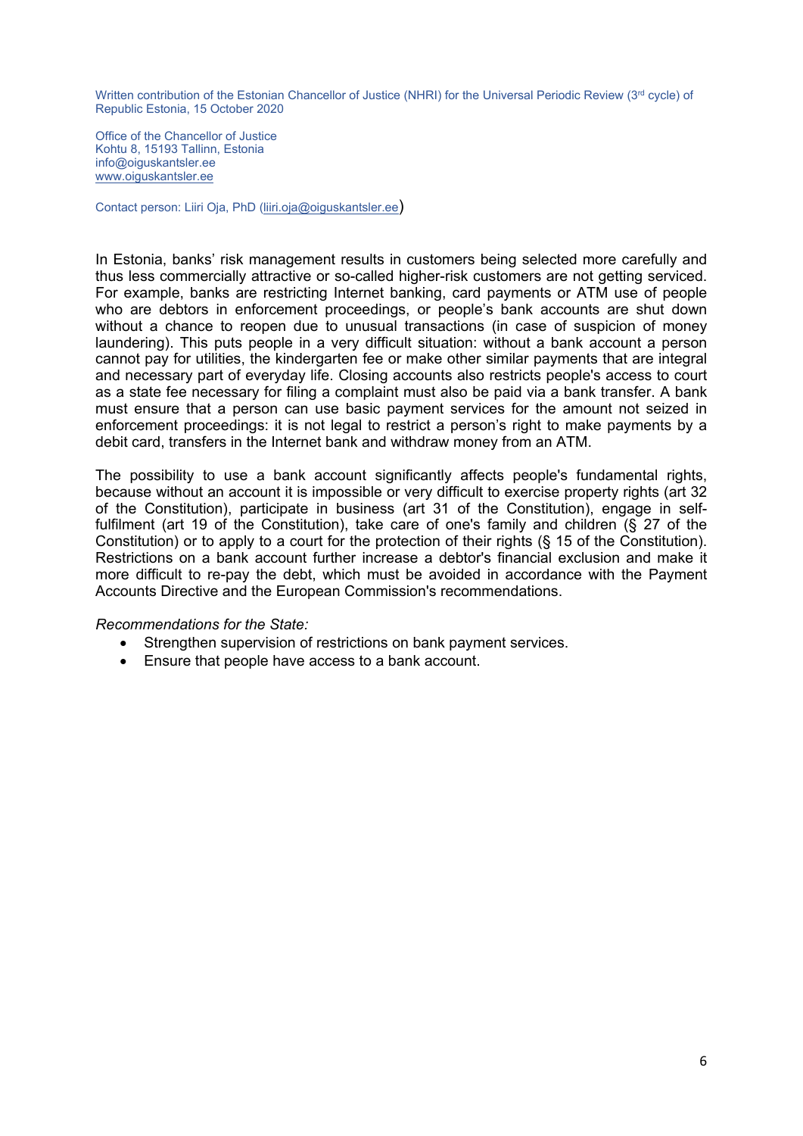Office of the Chancellor of Justice Kohtu 8, 15193 Tallinn, Estonia info@oiguskantsler.ee [www.oiguskantsler.ee](http://www.oiguskantsler.ee)

Contact person: Liiri Oja, PhD [\(liiri.oja@oiguskantsler.ee](mailto:liiri.oja@oiguskantsler.ee))

In Estonia, banks' risk management results in customers being selected more carefully and thus less commercially attractive or so-called higher-risk customers are not getting serviced. For example, banks are restricting Internet banking, card payments or ATM use of people who are debtors in enforcement proceedings, or people'<sup>s</sup> bank accounts are shut down without <sup>a</sup> chance to reopen due to unusual transactions (in case of suspicion of money laundering). This puts people in <sup>a</sup> very difficult situation: without <sup>a</sup> bank account <sup>a</sup> person cannot pay for utilities, the kindergarten fee or make other similar payments that are integral and necessary part of everyday life. Closing accounts also restricts people's access to court as <sup>a</sup> state fee necessary for filing <sup>a</sup> complaint must also be paid via <sup>a</sup> bank transfer. A bank must ensure that <sup>a</sup> person can use basic payment services for the amount not seized in enforcement proceedings: it is not legal to restrict <sup>a</sup> person'<sup>s</sup> right to make payments by <sup>a</sup> debit card, transfers in the Internet bank and withdraw money from an ATM.

The possibility to use <sup>a</sup> bank account significantly affects people's fundamental rights, because without an account it is impossible or very difficult to exercise property rights (art 32 of the Constitution), participate in business (art 31 of the Constitution), engage in selffulfilment (art 19 of the Constitution), take care of one's family and children (§ 27 of the Constitution) or to apply to <sup>a</sup> court for the protection of their rights (§ 15 of the Constitution). Restrictions on a bank account further increase a debtor's financial exclusion and make it more difficult to re-pay the debt, which must be avoided in accordance with the Payment Accounts Directive and the European Commission's recommendations.

#### *Recommendations for the State:*

- Strengthen supervision of restrictions on bank payment services.
- Ensure that people have access to <sup>a</sup> bank account.